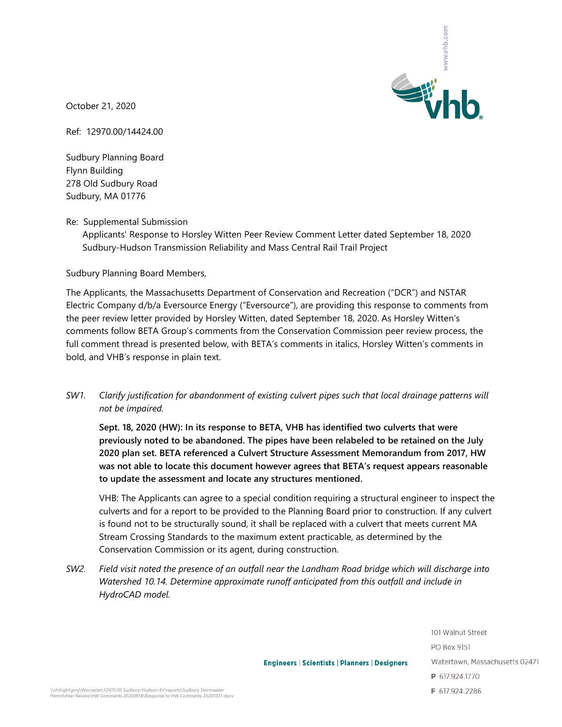

October 21, 2020

Ref: 12970.00/14424.00

Sudbury Planning Board Flynn Building 278 Old Sudbury Road Sudbury, MA 01776

Re: Supplemental Submission

Applicants' Response to Horsley Witten Peer Review Comment Letter dated September 18, 2020 Sudbury-Hudson Transmission Reliability and Mass Central Rail Trail Project

Sudbury Planning Board Members,

The Applicants, the Massachusetts Department of Conservation and Recreation ("DCR") and NSTAR Electric Company d/b/a Eversource Energy ("Eversource"), are providing this response to comments from the peer review letter provided by Horsley Witten, dated September 18, 2020. As Horsley Witten's comments follow BETA Group's comments from the Conservation Commission peer review process, the full comment thread is presented below, with BETA's comments in italics, Horsley Witten's comments in bold, and VHB's response in plain text.

*SW1. Clarify justification for abandonment of existing culvert pipes such that local drainage patterns will not be impaired.*

**Sept. 18, 2020 (HW): In its response to BETA, VHB has identified two culverts that were previously noted to be abandoned. The pipes have been relabeled to be retained on the July 2020 plan set. BETA referenced a Culvert Structure Assessment Memorandum from 2017, HW was not able to locate this document however agrees that BETA's request appears reasonable to update the assessment and locate any structures mentioned.**

VHB: The Applicants can agree to a special condition requiring a structural engineer to inspect the culverts and for a report to be provided to the Planning Board prior to construction. If any culvert is found not to be structurally sound, it shall be replaced with a culvert that meets current MA Stream Crossing Standards to the maximum extent practicable, as determined by the Conservation Commission or its agent, during construction.

*SW2. Field visit noted the presence of an outfall near the Landham Road bridge which will discharge into Watershed 10.14. Determine approximate runoff anticipated from this outfall and include in HydroCAD model.*

> 101 Walnut Street PO Box 9151 Watertown, Massachusetts 02471 P 617.924.1770 F 617.924.2286

**Engineers | Scientists | Planners | Designers**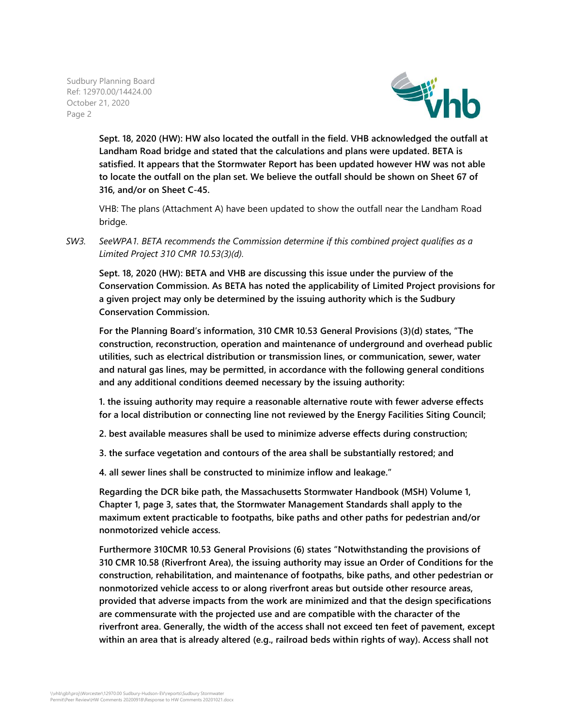

**Sept. 18, 2020 (HW): HW also located the outfall in the field. VHB acknowledged the outfall at Landham Road bridge and stated that the calculations and plans were updated. BETA is satisfied. It appears that the Stormwater Report has been updated however HW was not able to locate the outfall on the plan set. We believe the outfall should be shown on Sheet 67 of 316, and/or on Sheet C-45.**

VHB: The plans (Attachment A) have been updated to show the outfall near the Landham Road bridge.

*SW3. SeeWPA1. BETA recommends the Commission determine if this combined project qualifies as a Limited Project 310 CMR 10.53(3)(d).*

**Sept. 18, 2020 (HW): BETA and VHB are discussing this issue under the purview of the Conservation Commission. As BETA has noted the applicability of Limited Project provisions for a given project may only be determined by the issuing authority which is the Sudbury Conservation Commission.**

**For the Planning Board's information, 310 CMR 10.53 General Provisions (3)(d) states, "The construction, reconstruction, operation and maintenance of underground and overhead public utilities, such as electrical distribution or transmission lines, or communication, sewer, water and natural gas lines, may be permitted, in accordance with the following general conditions and any additional conditions deemed necessary by the issuing authority:**

**1. the issuing authority may require a reasonable alternative route with fewer adverse effects for a local distribution or connecting line not reviewed by the Energy Facilities Siting Council;**

**2. best available measures shall be used to minimize adverse effects during construction;**

**3. the surface vegetation and contours of the area shall be substantially restored; and**

**4. all sewer lines shall be constructed to minimize inflow and leakage."**

**Regarding the DCR bike path, the Massachusetts Stormwater Handbook (MSH) Volume 1, Chapter 1, page 3, sates that, the Stormwater Management Standards shall apply to the maximum extent practicable to footpaths, bike paths and other paths for pedestrian and/or nonmotorized vehicle access.**

**Furthermore 310CMR 10.53 General Provisions (6) states "Notwithstanding the provisions of 310 CMR 10.58 (Riverfront Area), the issuing authority may issue an Order of Conditions for the construction, rehabilitation, and maintenance of footpaths, bike paths, and other pedestrian or nonmotorized vehicle access to or along riverfront areas but outside other resource areas, provided that adverse impacts from the work are minimized and that the design specifications are commensurate with the projected use and are compatible with the character of the riverfront area. Generally, the width of the access shall not exceed ten feet of pavement, except within an area that is already altered (e.g., railroad beds within rights of way). Access shall not**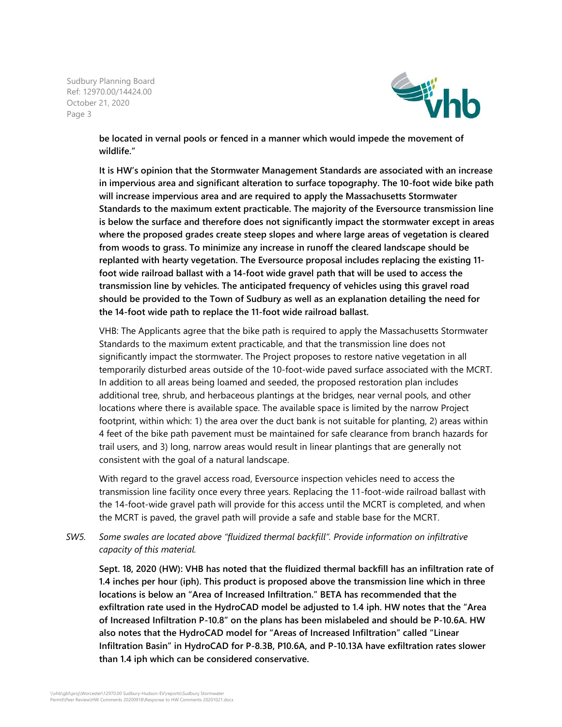

**be located in vernal pools or fenced in a manner which would impede the movement of wildlife."**

**It is HW's opinion that the Stormwater Management Standards are associated with an increase in impervious area and significant alteration to surface topography. The 10-foot wide bike path will increase impervious area and are required to apply the Massachusetts Stormwater Standards to the maximum extent practicable. The majority of the Eversource transmission line is below the surface and therefore does not significantly impact the stormwater except in areas where the proposed grades create steep slopes and where large areas of vegetation is cleared from woods to grass. To minimize any increase in runoff the cleared landscape should be replanted with hearty vegetation. The Eversource proposal includes replacing the existing 11 foot wide railroad ballast with a 14-foot wide gravel path that will be used to access the transmission line by vehicles. The anticipated frequency of vehicles using this gravel road should be provided to the Town of Sudbury as well as an explanation detailing the need for the 14-foot wide path to replace the 11-foot wide railroad ballast.**

VHB: The Applicants agree that the bike path is required to apply the Massachusetts Stormwater Standards to the maximum extent practicable, and that the transmission line does not significantly impact the stormwater. The Project proposes to restore native vegetation in all temporarily disturbed areas outside of the 10-foot-wide paved surface associated with the MCRT. In addition to all areas being loamed and seeded, the proposed restoration plan includes additional tree, shrub, and herbaceous plantings at the bridges, near vernal pools, and other locations where there is available space. The available space is limited by the narrow Project footprint, within which: 1) the area over the duct bank is not suitable for planting, 2) areas within 4 feet of the bike path pavement must be maintained for safe clearance from branch hazards for trail users, and 3) long, narrow areas would result in linear plantings that are generally not consistent with the goal of a natural landscape.

With regard to the gravel access road, Eversource inspection vehicles need to access the transmission line facility once every three years. Replacing the 11-foot-wide railroad ballast with the 14-foot-wide gravel path will provide for this access until the MCRT is completed, and when the MCRT is paved, the gravel path will provide a safe and stable base for the MCRT.

*SW5. Some swales are located above "fluidized thermal backfill". Provide information on infiltrative capacity of this material.*

**Sept. 18, 2020 (HW): VHB has noted that the fluidized thermal backfill has an infiltration rate of 1.4 inches per hour (iph). This product is proposed above the transmission line which in three locations is below an "Area of Increased Infiltration." BETA has recommended that the exfiltration rate used in the HydroCAD model be adjusted to 1.4 iph. HW notes that the "Area of Increased Infiltration P-10.8" on the plans has been mislabeled and should be P-10.6A. HW also notes that the HydroCAD model for "Areas of Increased Infiltration" called "Linear Infiltration Basin" in HydroCAD for P-8.3B, P10.6A, and P-10.13A have exfiltration rates slower than 1.4 iph which can be considered conservative.**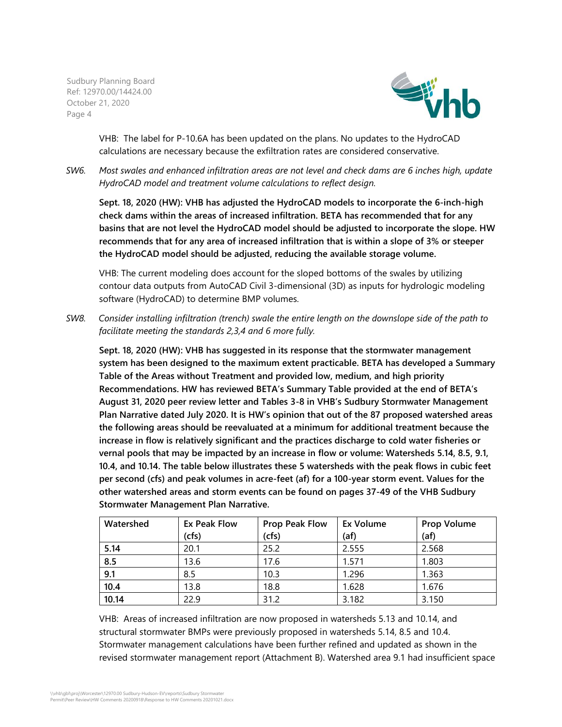

VHB: The label for P-10.6A has been updated on the plans. No updates to the HydroCAD calculations are necessary because the exfiltration rates are considered conservative.

*SW6. Most swales and enhanced infiltration areas are not level and check dams are 6 inches high, update HydroCAD model and treatment volume calculations to reflect design.*

**Sept. 18, 2020 (HW): VHB has adjusted the HydroCAD models to incorporate the 6-inch-high check dams within the areas of increased infiltration. BETA has recommended that for any basins that are not level the HydroCAD model should be adjusted to incorporate the slope. HW recommends that for any area of increased infiltration that is within a slope of 3% or steeper the HydroCAD model should be adjusted, reducing the available storage volume.**

VHB: The current modeling does account for the sloped bottoms of the swales by utilizing contour data outputs from AutoCAD Civil 3-dimensional (3D) as inputs for hydrologic modeling software (HydroCAD) to determine BMP volumes.

*SW8. Consider installing infiltration (trench) swale the entire length on the downslope side of the path to facilitate meeting the standards 2,3,4 and 6 more fully.*

**Sept. 18, 2020 (HW): VHB has suggested in its response that the stormwater management system has been designed to the maximum extent practicable. BETA has developed a Summary Table of the Areas without Treatment and provided low, medium, and high priority Recommendations. HW has reviewed BETA's Summary Table provided at the end of BETA's August 31, 2020 peer review letter and Tables 3-8 in VHB's Sudbury Stormwater Management Plan Narrative dated July 2020. It is HW's opinion that out of the 87 proposed watershed areas the following areas should be reevaluated at a minimum for additional treatment because the increase in flow is relatively significant and the practices discharge to cold water fisheries or vernal pools that may be impacted by an increase in flow or volume: Watersheds 5.14, 8.5, 9.1, 10.4, and 10.14. The table below illustrates these 5 watersheds with the peak flows in cubic feet per second (cfs) and peak volumes in acre-feet (af) for a 100-year storm event. Values for the other watershed areas and storm events can be found on pages 37-49 of the VHB Sudbury Stormwater Management Plan Narrative.**

| Watershed | Ex Peak Flow | <b>Prop Peak Flow</b> | Ex Volume | <b>Prop Volume</b> |
|-----------|--------------|-----------------------|-----------|--------------------|
|           | (cfs)        | (cfs)                 | (af)      | (af)               |
| 5.14      | 20.1         | 25.2                  | 2.555     | 2.568              |
| 8.5       | 13.6         | 17.6                  | 1.571     | 1.803              |
| 9.1       | 8.5          | 10.3                  | 1.296     | 1.363              |
| 10.4      | 13.8         | 18.8                  | 1.628     | 1.676              |
| 10.14     | 22.9         | 31.2                  | 3.182     | 3.150              |

VHB: Areas of increased infiltration are now proposed in watersheds 5.13 and 10.14, and structural stormwater BMPs were previously proposed in watersheds 5.14, 8.5 and 10.4. Stormwater management calculations have been further refined and updated as shown in the revised stormwater management report (Attachment B). Watershed area 9.1 had insufficient space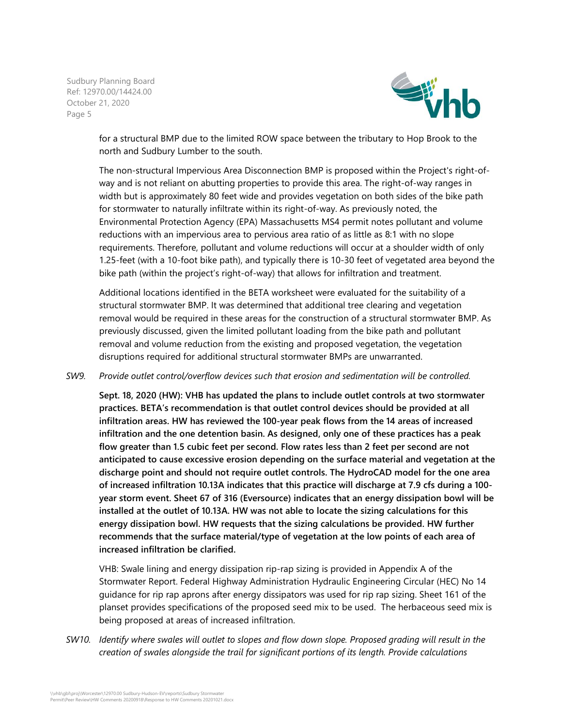

for a structural BMP due to the limited ROW space between the tributary to Hop Brook to the north and Sudbury Lumber to the south.

The non-structural Impervious Area Disconnection BMP is proposed within the Project's right-ofway and is not reliant on abutting properties to provide this area. The right-of-way ranges in width but is approximately 80 feet wide and provides vegetation on both sides of the bike path for stormwater to naturally infiltrate within its right-of-way. As previously noted, the Environmental Protection Agency (EPA) Massachusetts MS4 permit notes pollutant and volume reductions with an impervious area to pervious area ratio of as little as 8:1 with no slope requirements. Therefore, pollutant and volume reductions will occur at a shoulder width of only 1.25-feet (with a 10-foot bike path), and typically there is 10-30 feet of vegetated area beyond the bike path (within the project's right-of-way) that allows for infiltration and treatment.

Additional locations identified in the BETA worksheet were evaluated for the suitability of a structural stormwater BMP. It was determined that additional tree clearing and vegetation removal would be required in these areas for the construction of a structural stormwater BMP. As previously discussed, given the limited pollutant loading from the bike path and pollutant removal and volume reduction from the existing and proposed vegetation, the vegetation disruptions required for additional structural stormwater BMPs are unwarranted.

## *SW9. Provide outlet control/overflow devices such that erosion and sedimentation will be controlled.*

**Sept. 18, 2020 (HW): VHB has updated the plans to include outlet controls at two stormwater practices. BETA's recommendation is that outlet control devices should be provided at all infiltration areas. HW has reviewed the 100-year peak flows from the 14 areas of increased infiltration and the one detention basin. As designed, only one of these practices has a peak flow greater than 1.5 cubic feet per second. Flow rates less than 2 feet per second are not anticipated to cause excessive erosion depending on the surface material and vegetation at the discharge point and should not require outlet controls. The HydroCAD model for the one area of increased infiltration 10.13A indicates that this practice will discharge at 7.9 cfs during a 100 year storm event. Sheet 67 of 316 (Eversource) indicates that an energy dissipation bowl will be installed at the outlet of 10.13A. HW was not able to locate the sizing calculations for this energy dissipation bowl. HW requests that the sizing calculations be provided. HW further recommends that the surface material/type of vegetation at the low points of each area of increased infiltration be clarified.**

VHB: Swale lining and energy dissipation rip-rap sizing is provided in Appendix A of the Stormwater Report. Federal Highway Administration Hydraulic Engineering Circular (HEC) No 14 guidance for rip rap aprons after energy dissipators was used for rip rap sizing. Sheet 161 of the planset provides specifications of the proposed seed mix to be used. The herbaceous seed mix is being proposed at areas of increased infiltration.

*SW10. Identify where swales will outlet to slopes and flow down slope. Proposed grading will result in the creation of swales alongside the trail for significant portions of its length. Provide calculations*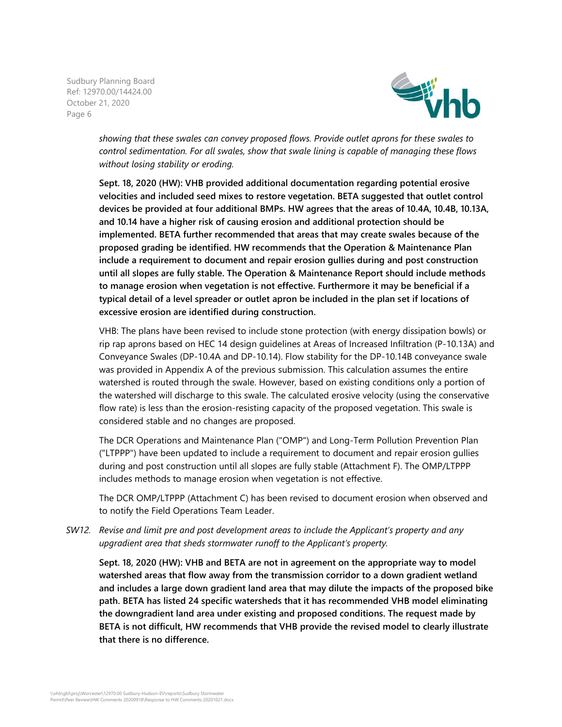

*showing that these swales can convey proposed flows. Provide outlet aprons for these swales to control sedimentation. For all swales, show that swale lining is capable of managing these flows without losing stability or eroding.*

**Sept. 18, 2020 (HW): VHB provided additional documentation regarding potential erosive velocities and included seed mixes to restore vegetation. BETA suggested that outlet control devices be provided at four additional BMPs. HW agrees that the areas of 10.4A, 10.4B, 10.13A, and 10.14 have a higher risk of causing erosion and additional protection should be implemented. BETA further recommended that areas that may create swales because of the proposed grading be identified. HW recommends that the Operation & Maintenance Plan include a requirement to document and repair erosion gullies during and post construction until all slopes are fully stable. The Operation & Maintenance Report should include methods to manage erosion when vegetation is not effective. Furthermore it may be beneficial if a typical detail of a level spreader or outlet apron be included in the plan set if locations of excessive erosion are identified during construction.**

VHB: The plans have been revised to include stone protection (with energy dissipation bowls) or rip rap aprons based on HEC 14 design guidelines at Areas of Increased Infiltration (P-10.13A) and Conveyance Swales (DP-10.4A and DP-10.14). Flow stability for the DP-10.14B conveyance swale was provided in Appendix A of the previous submission. This calculation assumes the entire watershed is routed through the swale. However, based on existing conditions only a portion of the watershed will discharge to this swale. The calculated erosive velocity (using the conservative flow rate) is less than the erosion-resisting capacity of the proposed vegetation. This swale is considered stable and no changes are proposed.

The DCR Operations and Maintenance Plan ("OMP") and Long-Term Pollution Prevention Plan ("LTPPP") have been updated to include a requirement to document and repair erosion gullies during and post construction until all slopes are fully stable (Attachment F). The OMP/LTPPP includes methods to manage erosion when vegetation is not effective.

The DCR OMP/LTPPP (Attachment C) has been revised to document erosion when observed and to notify the Field Operations Team Leader.

*SW12. Revise and limit pre and post development areas to include the Applicant's property and any upgradient area that sheds stormwater runoff to the Applicant's property.*

**Sept. 18, 2020 (HW): VHB and BETA are not in agreement on the appropriate way to model watershed areas that flow away from the transmission corridor to a down gradient wetland and includes a large down gradient land area that may dilute the impacts of the proposed bike path. BETA has listed 24 specific watersheds that it has recommended VHB model eliminating the downgradient land area under existing and proposed conditions. The request made by BETA is not difficult, HW recommends that VHB provide the revised model to clearly illustrate that there is no difference.**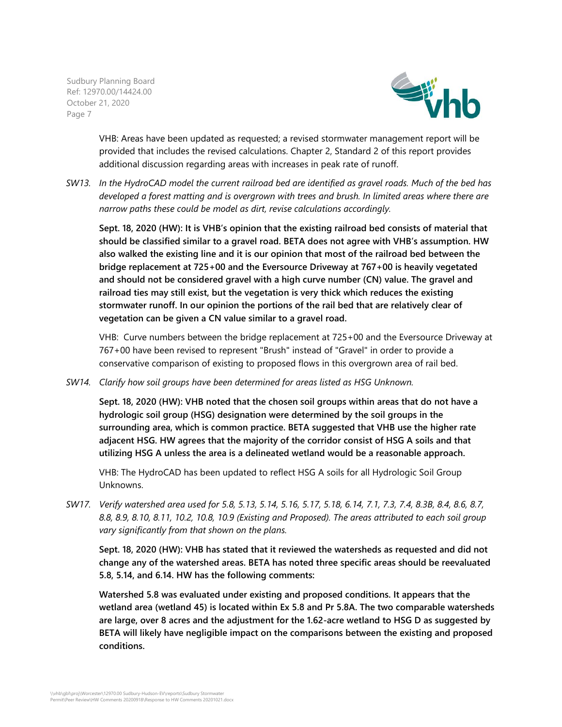

VHB: Areas have been updated as requested; a revised stormwater management report will be provided that includes the revised calculations. Chapter 2, Standard 2 of this report provides additional discussion regarding areas with increases in peak rate of runoff.

*SW13. In the HydroCAD model the current railroad bed are identified as gravel roads. Much of the bed has developed a forest matting and is overgrown with trees and brush. In limited areas where there are narrow paths these could be model as dirt, revise calculations accordingly.*

**Sept. 18, 2020 (HW): It is VHB's opinion that the existing railroad bed consists of material that should be classified similar to a gravel road. BETA does not agree with VHB's assumption. HW also walked the existing line and it is our opinion that most of the railroad bed between the bridge replacement at 725+00 and the Eversource Driveway at 767+00 is heavily vegetated and should not be considered gravel with a high curve number (CN) value. The gravel and railroad ties may still exist, but the vegetation is very thick which reduces the existing stormwater runoff. In our opinion the portions of the rail bed that are relatively clear of vegetation can be given a CN value similar to a gravel road.**

VHB: Curve numbers between the bridge replacement at 725+00 and the Eversource Driveway at 767+00 have been revised to represent "Brush" instead of "Gravel" in order to provide a conservative comparison of existing to proposed flows in this overgrown area of rail bed.

*SW14. Clarify how soil groups have been determined for areas listed as HSG Unknown.*

**Sept. 18, 2020 (HW): VHB noted that the chosen soil groups within areas that do not have a hydrologic soil group (HSG) designation were determined by the soil groups in the surrounding area, which is common practice. BETA suggested that VHB use the higher rate adjacent HSG. HW agrees that the majority of the corridor consist of HSG A soils and that utilizing HSG A unless the area is a delineated wetland would be a reasonable approach.**

VHB: The HydroCAD has been updated to reflect HSG A soils for all Hydrologic Soil Group Unknowns.

*SW17. Verify watershed area used for 5.8, 5.13, 5.14, 5.16, 5.17, 5.18, 6.14, 7.1, 7.3, 7.4, 8.3B, 8.4, 8.6, 8.7, 8.8, 8.9, 8.10, 8.11, 10.2, 10.8, 10.9 (Existing and Proposed). The areas attributed to each soil group vary significantly from that shown on the plans.*

**Sept. 18, 2020 (HW): VHB has stated that it reviewed the watersheds as requested and did not change any of the watershed areas. BETA has noted three specific areas should be reevaluated 5.8, 5.14, and 6.14. HW has the following comments:**

**Watershed 5.8 was evaluated under existing and proposed conditions. It appears that the wetland area (wetland 45) is located within Ex 5.8 and Pr 5.8A. The two comparable watersheds are large, over 8 acres and the adjustment for the 1.62-acre wetland to HSG D as suggested by BETA will likely have negligible impact on the comparisons between the existing and proposed conditions.**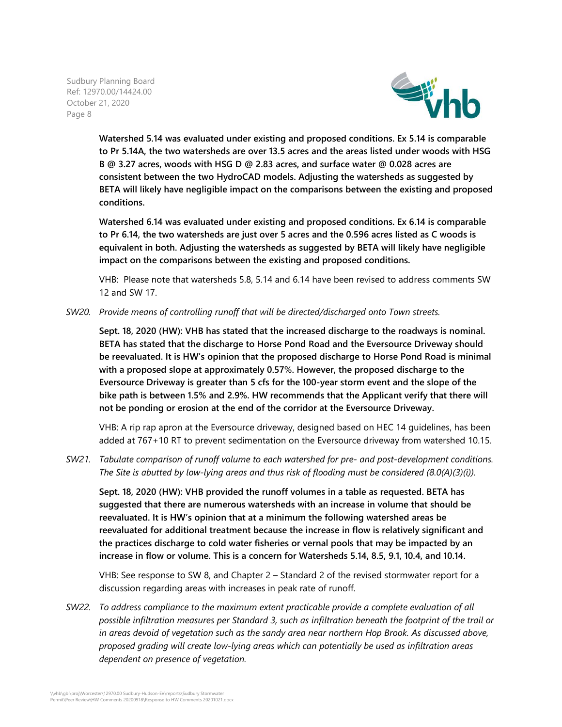

**Watershed 5.14 was evaluated under existing and proposed conditions. Ex 5.14 is comparable to Pr 5.14A, the two watersheds are over 13.5 acres and the areas listed under woods with HSG B @ 3.27 acres, woods with HSG D @ 2.83 acres, and surface water @ 0.028 acres are consistent between the two HydroCAD models. Adjusting the watersheds as suggested by BETA will likely have negligible impact on the comparisons between the existing and proposed conditions.**

**Watershed 6.14 was evaluated under existing and proposed conditions. Ex 6.14 is comparable to Pr 6.14, the two watersheds are just over 5 acres and the 0.596 acres listed as C woods is equivalent in both. Adjusting the watersheds as suggested by BETA will likely have negligible impact on the comparisons between the existing and proposed conditions.**

VHB: Please note that watersheds 5.8, 5.14 and 6.14 have been revised to address comments SW 12 and SW 17.

*SW20. Provide means of controlling runoff that will be directed/discharged onto Town streets.*

**Sept. 18, 2020 (HW): VHB has stated that the increased discharge to the roadways is nominal. BETA has stated that the discharge to Horse Pond Road and the Eversource Driveway should be reevaluated. It is HW's opinion that the proposed discharge to Horse Pond Road is minimal with a proposed slope at approximately 0.57%. However, the proposed discharge to the Eversource Driveway is greater than 5 cfs for the 100-year storm event and the slope of the bike path is between 1.5% and 2.9%. HW recommends that the Applicant verify that there will not be ponding or erosion at the end of the corridor at the Eversource Driveway.**

VHB: A rip rap apron at the Eversource driveway, designed based on HEC 14 guidelines, has been added at 767+10 RT to prevent sedimentation on the Eversource driveway from watershed 10.15.

*SW21. Tabulate comparison of runoff volume to each watershed for pre- and post-development conditions. The Site is abutted by low-lying areas and thus risk of flooding must be considered (8.0(A)(3)(i)).*

**Sept. 18, 2020 (HW): VHB provided the runoff volumes in a table as requested. BETA has suggested that there are numerous watersheds with an increase in volume that should be reevaluated. It is HW's opinion that at a minimum the following watershed areas be reevaluated for additional treatment because the increase in flow is relatively significant and the practices discharge to cold water fisheries or vernal pools that may be impacted by an increase in flow or volume. This is a concern for Watersheds 5.14, 8.5, 9.1, 10.4, and 10.14.**

VHB: See response to SW 8, and Chapter 2 – Standard 2 of the revised stormwater report for a discussion regarding areas with increases in peak rate of runoff.

*SW22. To address compliance to the maximum extent practicable provide a complete evaluation of all possible infiltration measures per Standard 3, such as infiltration beneath the footprint of the trail or in areas devoid of vegetation such as the sandy area near northern Hop Brook. As discussed above, proposed grading will create low-lying areas which can potentially be used as infiltration areas dependent on presence of vegetation.*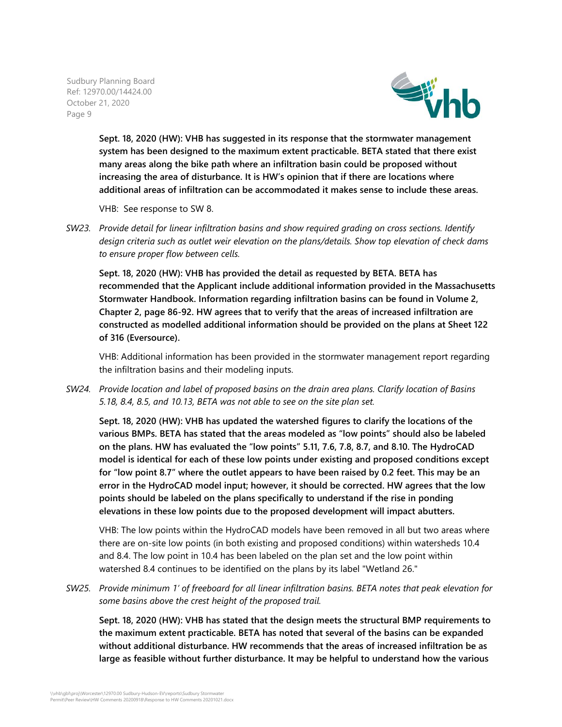

**Sept. 18, 2020 (HW): VHB has suggested in its response that the stormwater management system has been designed to the maximum extent practicable. BETA stated that there exist many areas along the bike path where an infiltration basin could be proposed without increasing the area of disturbance. It is HW's opinion that if there are locations where additional areas of infiltration can be accommodated it makes sense to include these areas.**

VHB: See response to SW 8.

*SW23. Provide detail for linear infiltration basins and show required grading on cross sections. Identify design criteria such as outlet weir elevation on the plans/details. Show top elevation of check dams to ensure proper flow between cells.*

**Sept. 18, 2020 (HW): VHB has provided the detail as requested by BETA. BETA has recommended that the Applicant include additional information provided in the Massachusetts Stormwater Handbook. Information regarding infiltration basins can be found in Volume 2, Chapter 2, page 86-92. HW agrees that to verify that the areas of increased infiltration are constructed as modelled additional information should be provided on the plans at Sheet 122 of 316 (Eversource).**

VHB: Additional information has been provided in the stormwater management report regarding the infiltration basins and their modeling inputs.

*SW24. Provide location and label of proposed basins on the drain area plans. Clarify location of Basins 5.18, 8.4, 8.5, and 10.13, BETA was not able to see on the site plan set.*

**Sept. 18, 2020 (HW): VHB has updated the watershed figures to clarify the locations of the various BMPs. BETA has stated that the areas modeled as "low points" should also be labeled on the plans. HW has evaluated the "low points" 5.11, 7.6, 7.8, 8.7, and 8.10. The HydroCAD model is identical for each of these low points under existing and proposed conditions except for "low point 8.7" where the outlet appears to have been raised by 0.2 feet. This may be an error in the HydroCAD model input; however, it should be corrected. HW agrees that the low points should be labeled on the plans specifically to understand if the rise in ponding elevations in these low points due to the proposed development will impact abutters.**

VHB: The low points within the HydroCAD models have been removed in all but two areas where there are on-site low points (in both existing and proposed conditions) within watersheds 10.4 and 8.4. The low point in 10.4 has been labeled on the plan set and the low point within watershed 8.4 continues to be identified on the plans by its label "Wetland 26."

*SW25. Provide minimum 1' of freeboard for all linear infiltration basins. BETA notes that peak elevation for some basins above the crest height of the proposed trail.*

**Sept. 18, 2020 (HW): VHB has stated that the design meets the structural BMP requirements to the maximum extent practicable. BETA has noted that several of the basins can be expanded without additional disturbance. HW recommends that the areas of increased infiltration be as large as feasible without further disturbance. It may be helpful to understand how the various**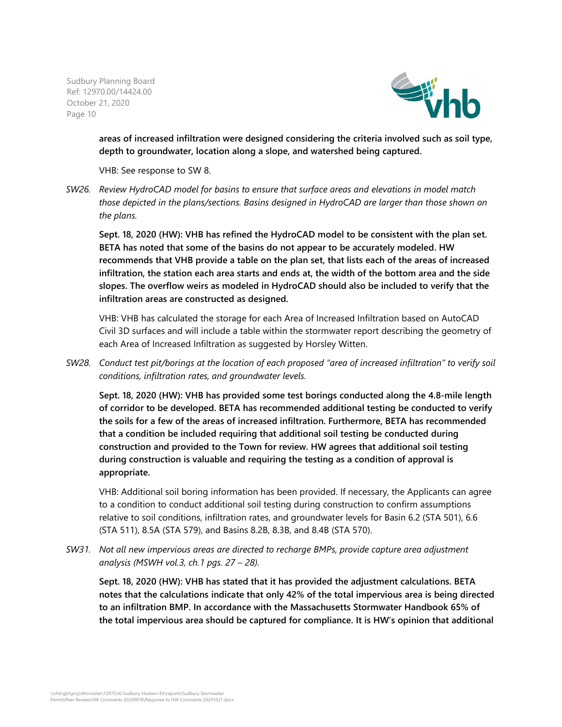

**areas of increased infiltration were designed considering the criteria involved such as soil type, depth to groundwater, location along a slope, and watershed being captured.**

VHB: See response to SW 8.

*SW26. Review HydroCAD model for basins to ensure that surface areas and elevations in model match those depicted in the plans/sections. Basins designed in HydroCAD are larger than those shown on the plans.*

**Sept. 18, 2020 (HW): VHB has refined the HydroCAD model to be consistent with the plan set. BETA has noted that some of the basins do not appear to be accurately modeled. HW recommends that VHB provide a table on the plan set, that lists each of the areas of increased infiltration, the station each area starts and ends at, the width of the bottom area and the side slopes. The overflow weirs as modeled in HydroCAD should also be included to verify that the infiltration areas are constructed as designed.**

VHB: VHB has calculated the storage for each Area of Increased Infiltration based on AutoCAD Civil 3D surfaces and will include a table within the stormwater report describing the geometry of each Area of Increased Infiltration as suggested by Horsley Witten.

*SW28. Conduct test pit/borings at the location of each proposed "area of increased infiltration" to verify soil conditions, infiltration rates, and groundwater levels.*

**Sept. 18, 2020 (HW): VHB has provided some test borings conducted along the 4.8-mile length of corridor to be developed. BETA has recommended additional testing be conducted to verify the soils for a few of the areas of increased infiltration. Furthermore, BETA has recommended that a condition be included requiring that additional soil testing be conducted during construction and provided to the Town for review. HW agrees that additional soil testing during construction is valuable and requiring the testing as a condition of approval is appropriate.**

VHB: Additional soil boring information has been provided. If necessary, the Applicants can agree to a condition to conduct additional soil testing during construction to confirm assumptions relative to soil conditions, infiltration rates, and groundwater levels for Basin 6.2 (STA 501), 6.6 (STA 511), 8.5A (STA 579), and Basins 8.2B, 8.3B, and 8.4B (STA 570).

*SW31. Not all new impervious areas are directed to recharge BMPs, provide capture area adjustment analysis (MSWH vol.3, ch.1 pgs. 27 – 28).*

**Sept. 18, 2020 (HW): VHB has stated that it has provided the adjustment calculations. BETA notes that the calculations indicate that only 42% of the total impervious area is being directed to an infiltration BMP. In accordance with the Massachusetts Stormwater Handbook 65% of the total impervious area should be captured for compliance. It is HW's opinion that additional**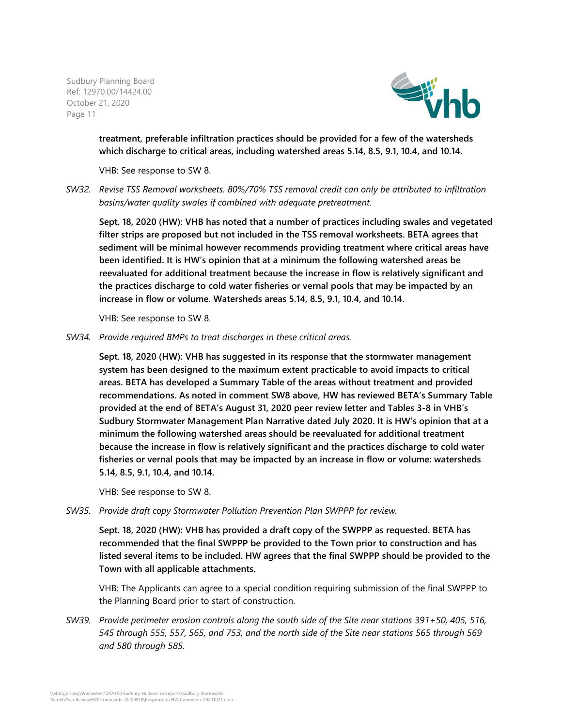

**treatment, preferable infiltration practices should be provided for a few of the watersheds which discharge to critical areas, including watershed areas 5.14, 8.5, 9.1, 10.4, and 10.14.**

VHB: See response to SW 8.

*SW32. Revise TSS Removal worksheets. 80%/70% TSS removal credit can only be attributed to infiltration basins/water quality swales if combined with adequate pretreatment.*

**Sept. 18, 2020 (HW): VHB has noted that a number of practices including swales and vegetated filter strips are proposed but not included in the TSS removal worksheets. BETA agrees that sediment will be minimal however recommends providing treatment where critical areas have been identified. It is HW's opinion that at a minimum the following watershed areas be reevaluated for additional treatment because the increase in flow is relatively significant and the practices discharge to cold water fisheries or vernal pools that may be impacted by an increase in flow or volume. Watersheds areas 5.14, 8.5, 9.1, 10.4, and 10.14.**

VHB: See response to SW 8.

*SW34. Provide required BMPs to treat discharges in these critical areas.*

**Sept. 18, 2020 (HW): VHB has suggested in its response that the stormwater management system has been designed to the maximum extent practicable to avoid impacts to critical areas. BETA has developed a Summary Table of the areas without treatment and provided recommendations. As noted in comment SW8 above, HW has reviewed BETA's Summary Table provided at the end of BETA's August 31, 2020 peer review letter and Tables 3-8 in VHB's Sudbury Stormwater Management Plan Narrative dated July 2020. It is HW's opinion that at a minimum the following watershed areas should be reevaluated for additional treatment because the increase in flow is relatively significant and the practices discharge to cold water fisheries or vernal pools that may be impacted by an increase in flow or volume: watersheds 5.14, 8.5, 9.1, 10.4, and 10.14.**

VHB: See response to SW 8.

*SW35. Provide draft copy Stormwater Pollution Prevention Plan SWPPP for review.*

**Sept. 18, 2020 (HW): VHB has provided a draft copy of the SWPPP as requested. BETA has recommended that the final SWPPP be provided to the Town prior to construction and has listed several items to be included. HW agrees that the final SWPPP should be provided to the Town with all applicable attachments.**

VHB: The Applicants can agree to a special condition requiring submission of the final SWPPP to the Planning Board prior to start of construction.

*SW39. Provide perimeter erosion controls along the south side of the Site near stations 391+50, 405, 516, 545 through 555, 557, 565, and 753, and the north side of the Site near stations 565 through 569 and 580 through 585.*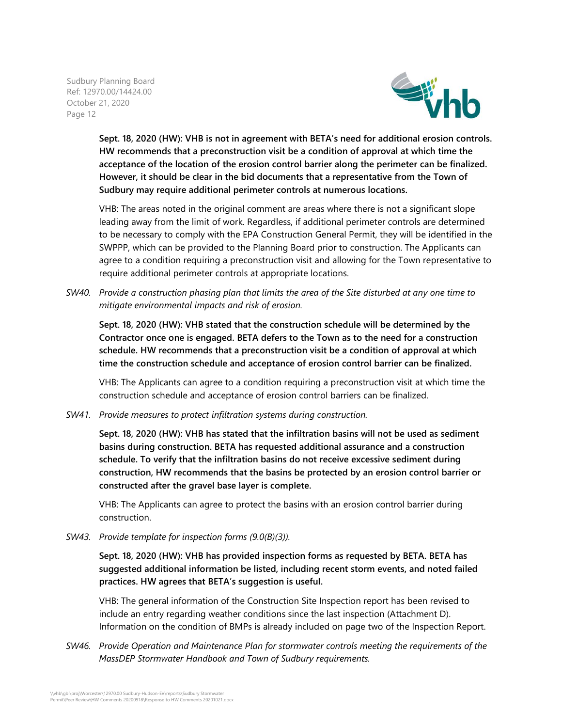

**Sept. 18, 2020 (HW): VHB is not in agreement with BETA's need for additional erosion controls. HW recommends that a preconstruction visit be a condition of approval at which time the acceptance of the location of the erosion control barrier along the perimeter can be finalized. However, it should be clear in the bid documents that a representative from the Town of Sudbury may require additional perimeter controls at numerous locations.**

VHB: The areas noted in the original comment are areas where there is not a significant slope leading away from the limit of work. Regardless, if additional perimeter controls are determined to be necessary to comply with the EPA Construction General Permit, they will be identified in the SWPPP, which can be provided to the Planning Board prior to construction. The Applicants can agree to a condition requiring a preconstruction visit and allowing for the Town representative to require additional perimeter controls at appropriate locations.

*SW40. Provide a construction phasing plan that limits the area of the Site disturbed at any one time to mitigate environmental impacts and risk of erosion.*

**Sept. 18, 2020 (HW): VHB stated that the construction schedule will be determined by the Contractor once one is engaged. BETA defers to the Town as to the need for a construction schedule. HW recommends that a preconstruction visit be a condition of approval at which time the construction schedule and acceptance of erosion control barrier can be finalized.**

VHB: The Applicants can agree to a condition requiring a preconstruction visit at which time the construction schedule and acceptance of erosion control barriers can be finalized.

*SW41. Provide measures to protect infiltration systems during construction.*

**Sept. 18, 2020 (HW): VHB has stated that the infiltration basins will not be used as sediment basins during construction. BETA has requested additional assurance and a construction schedule. To verify that the infiltration basins do not receive excessive sediment during construction, HW recommends that the basins be protected by an erosion control barrier or constructed after the gravel base layer is complete.**

VHB: The Applicants can agree to protect the basins with an erosion control barrier during construction.

*SW43. Provide template for inspection forms (9.0(B)(3)).*

**Sept. 18, 2020 (HW): VHB has provided inspection forms as requested by BETA. BETA has suggested additional information be listed, including recent storm events, and noted failed practices. HW agrees that BETA's suggestion is useful.**

VHB: The general information of the Construction Site Inspection report has been revised to include an entry regarding weather conditions since the last inspection (Attachment D). Information on the condition of BMPs is already included on page two of the Inspection Report.

*SW46. Provide Operation and Maintenance Plan for stormwater controls meeting the requirements of the MassDEP Stormwater Handbook and Town of Sudbury requirements.*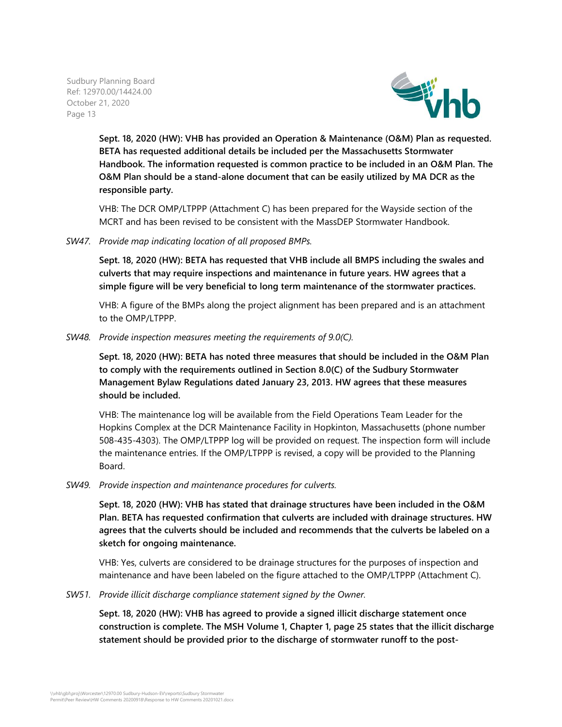

**Sept. 18, 2020 (HW): VHB has provided an Operation & Maintenance (O&M) Plan as requested. BETA has requested additional details be included per the Massachusetts Stormwater Handbook. The information requested is common practice to be included in an O&M Plan. The O&M Plan should be a stand-alone document that can be easily utilized by MA DCR as the responsible party.**

VHB: The DCR OMP/LTPPP (Attachment C) has been prepared for the Wayside section of the MCRT and has been revised to be consistent with the MassDEP Stormwater Handbook.

*SW47. Provide map indicating location of all proposed BMPs.*

**Sept. 18, 2020 (HW): BETA has requested that VHB include all BMPS including the swales and culverts that may require inspections and maintenance in future years. HW agrees that a simple figure will be very beneficial to long term maintenance of the stormwater practices.**

VHB: A figure of the BMPs along the project alignment has been prepared and is an attachment to the OMP/LTPPP.

*SW48. Provide inspection measures meeting the requirements of 9.0(C).*

**Sept. 18, 2020 (HW): BETA has noted three measures that should be included in the O&M Plan to comply with the requirements outlined in Section 8.0(C) of the Sudbury Stormwater Management Bylaw Regulations dated January 23, 2013. HW agrees that these measures should be included.**

VHB: The maintenance log will be available from the Field Operations Team Leader for the Hopkins Complex at the DCR Maintenance Facility in Hopkinton, Massachusetts (phone number 508-435-4303). The OMP/LTPPP log will be provided on request. The inspection form will include the maintenance entries. If the OMP/LTPPP is revised, a copy will be provided to the Planning Board.

*SW49. Provide inspection and maintenance procedures for culverts.*

**Sept. 18, 2020 (HW): VHB has stated that drainage structures have been included in the O&M Plan. BETA has requested confirmation that culverts are included with drainage structures. HW agrees that the culverts should be included and recommends that the culverts be labeled on a sketch for ongoing maintenance.**

VHB: Yes, culverts are considered to be drainage structures for the purposes of inspection and maintenance and have been labeled on the figure attached to the OMP/LTPPP (Attachment C).

*SW51. Provide illicit discharge compliance statement signed by the Owner.*

**Sept. 18, 2020 (HW): VHB has agreed to provide a signed illicit discharge statement once construction is complete. The MSH Volume 1, Chapter 1, page 25 states that the illicit discharge statement should be provided prior to the discharge of stormwater runoff to the post-**